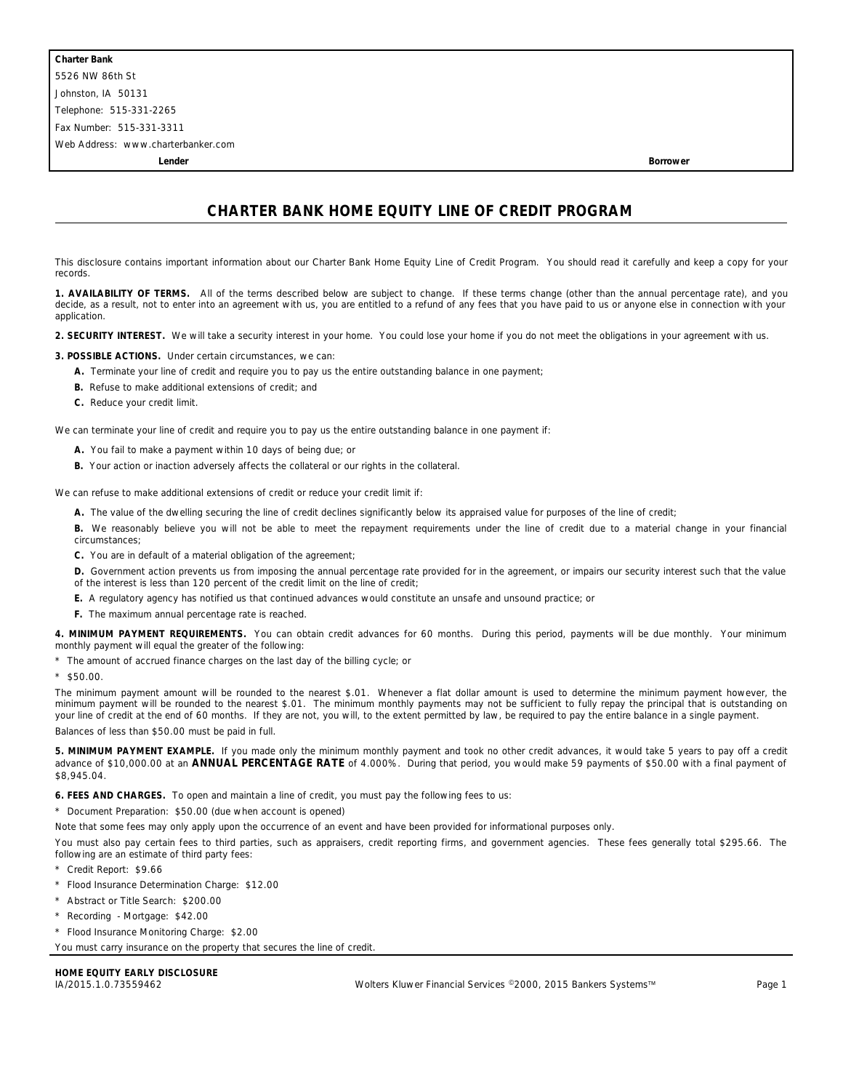**Lender Borrower**

## **CHARTER BANK HOME EQUITY LINE OF CREDIT PROGRAM**

This disclosure contains important information about our Charter Bank Home Equity Line of Credit Program. You should read it carefully and keep a copy for your records.

**1. AVAILABILITY OF TERMS.** All of the terms described below are subject to change. If these terms change (other than the annual percentage rate), and you decide, as a result, not to enter into an agreement with us, you are entitled to a refund of any fees that you have paid to us or anyone else in connection with your application.

**2. SECURITY INTEREST.** We will take a security interest in your home. You could lose your home if you do not meet the obligations in your agreement with us.

**3. POSSIBLE ACTIONS.** Under certain circumstances, we can:

- **A.** Terminate your line of credit and require you to pay us the entire outstanding balance in one payment;
- **B.** Refuse to make additional extensions of credit; and
- **C.** Reduce your credit limit.

We can terminate your line of credit and require you to pay us the entire outstanding balance in one payment if:

- **A.** You fail to make a payment within 10 days of being due; or
- **B.** Your action or inaction adversely affects the collateral or our rights in the collateral.

We can refuse to make additional extensions of credit or reduce your credit limit if:

**A.** The value of the dwelling securing the line of credit declines significantly below its appraised value for purposes of the line of credit;

**B.** We reasonably believe you will not be able to meet the repayment requirements under the line of credit due to a material change in your financial circumstances;

- **C.** You are in default of a material obligation of the agreement;
- **D.** Government action prevents us from imposing the annual percentage rate provided for in the agreement, or impairs our security interest such that the value of the interest is less than 120 percent of the credit limit on the line of credit;
- **E.** A regulatory agency has notified us that continued advances would constitute an unsafe and unsound practice; or
- **F.** The maximum annual percentage rate is reached.

**4. MINIMUM PAYMENT REQUIREMENTS.** You can obtain credit advances for 60 months. During this period, payments will be due monthly. Your minimum monthly payment will equal the greater of the following:

\* The amount of accrued finance charges on the last day of the billing cycle; or

\* \$50.00.

The minimum payment amount will be rounded to the nearest \$.01. Whenever a flat dollar amount is used to determine the minimum payment however, the minimum payment will be rounded to the nearest \$.01. The minimum monthly payments may not be sufficient to fully repay the principal that is outstanding on your line of credit at the end of 60 months. If they are not, you will, to the extent permitted by law, be required to pay the entire balance in a single payment. Balances of less than \$50.00 must be paid in full.

**5. MINIMUM PAYMENT EXAMPLE.** If you made only the minimum monthly payment and took no other credit advances, it would take 5 years to pay off a credit advance of \$10,000.00 at an **ANNUAL PERCENTAGE RATE** of 4.000%. During that period, you would make 59 payments of \$50.00 with a final payment of \$8,945.04.

**6. FEES AND CHARGES.** To open and maintain a line of credit, you must pay the following fees to us:

\* Document Preparation: \$50.00 (due when account is opened)

Note that some fees may only apply upon the occurrence of an event and have been provided for informational purposes only.

You must also pay certain fees to third parties, such as appraisers, credit reporting firms, and government agencies. These fees generally total \$295.66. The following are an estimate of third party fees:

- \* Credit Report: \$9.66
- \* Flood Insurance Determination Charge: \$12.00
- \* Abstract or Title Search: \$200.00
- \* Recording Mortgage: \$42.00
- \* Flood Insurance Monitoring Charge: \$2.00

You must carry insurance on the property that secures the line of credit.

## **HOME EQUITY EARLY DISCLOSURE**